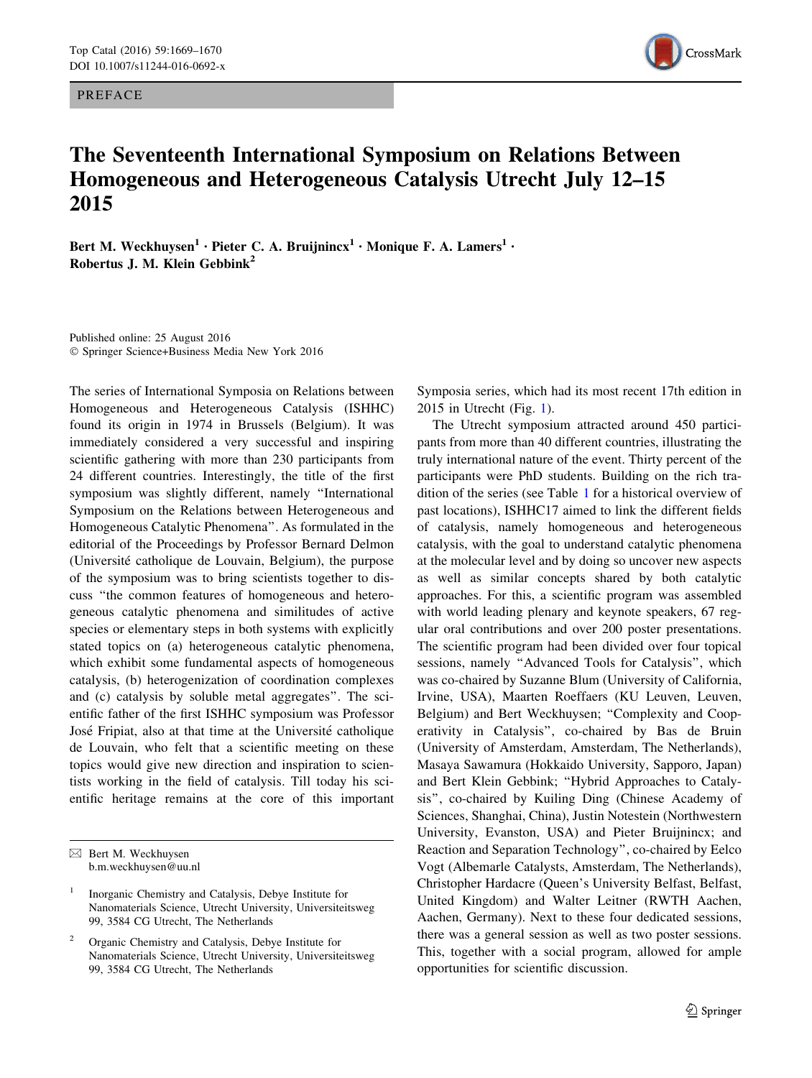PREFACE



## The Seventeenth International Symposium on Relations Between Homogeneous and Heterogeneous Catalysis Utrecht July 12–15 2015

Bert M. Weckhuysen<sup>1</sup> · Pieter C. A. Bruijnincx<sup>1</sup> · Monique F. A. Lamers<sup>1</sup> · Robertus J. M. Klein Gebbink<sup>2</sup>

Published online: 25 August 2016 - Springer Science+Business Media New York 2016

The series of International Symposia on Relations between Homogeneous and Heterogeneous Catalysis (ISHHC) found its origin in 1974 in Brussels (Belgium). It was immediately considered a very successful and inspiring scientific gathering with more than 230 participants from 24 different countries. Interestingly, the title of the first symposium was slightly different, namely ''International Symposium on the Relations between Heterogeneous and Homogeneous Catalytic Phenomena''. As formulated in the editorial of the Proceedings by Professor Bernard Delmon (Universite´ catholique de Louvain, Belgium), the purpose of the symposium was to bring scientists together to discuss ''the common features of homogeneous and heterogeneous catalytic phenomena and similitudes of active species or elementary steps in both systems with explicitly stated topics on (a) heterogeneous catalytic phenomena, which exhibit some fundamental aspects of homogeneous catalysis, (b) heterogenization of coordination complexes and (c) catalysis by soluble metal aggregates''. The scientific father of the first ISHHC symposium was Professor José Fripiat, also at that time at the Université catholique de Louvain, who felt that a scientific meeting on these topics would give new direction and inspiration to scientists working in the field of catalysis. Till today his scientific heritage remains at the core of this important

Symposia series, which had its most recent 17th edition in 2015 in Utrecht (Fig. [1](#page-1-0)).

The Utrecht symposium attracted around 450 participants from more than 40 different countries, illustrating the truly international nature of the event. Thirty percent of the participants were PhD students. Building on the rich tradition of the series (see Table [1](#page-1-0) for a historical overview of past locations), ISHHC17 aimed to link the different fields of catalysis, namely homogeneous and heterogeneous catalysis, with the goal to understand catalytic phenomena at the molecular level and by doing so uncover new aspects as well as similar concepts shared by both catalytic approaches. For this, a scientific program was assembled with world leading plenary and keynote speakers, 67 regular oral contributions and over 200 poster presentations. The scientific program had been divided over four topical sessions, namely ''Advanced Tools for Catalysis'', which was co-chaired by Suzanne Blum (University of California, Irvine, USA), Maarten Roeffaers (KU Leuven, Leuven, Belgium) and Bert Weckhuysen; ''Complexity and Cooperativity in Catalysis'', co-chaired by Bas de Bruin (University of Amsterdam, Amsterdam, The Netherlands), Masaya Sawamura (Hokkaido University, Sapporo, Japan) and Bert Klein Gebbink; ''Hybrid Approaches to Catalysis'', co-chaired by Kuiling Ding (Chinese Academy of Sciences, Shanghai, China), Justin Notestein (Northwestern University, Evanston, USA) and Pieter Bruijnincx; and Reaction and Separation Technology'', co-chaired by Eelco Vogt (Albemarle Catalysts, Amsterdam, The Netherlands), Christopher Hardacre (Queen's University Belfast, Belfast, United Kingdom) and Walter Leitner (RWTH Aachen, Aachen, Germany). Next to these four dedicated sessions, there was a general session as well as two poster sessions. This, together with a social program, allowed for ample opportunities for scientific discussion.

 $\boxtimes$  Bert M. Weckhuysen b.m.weckhuysen@uu.nl

<sup>1</sup> Inorganic Chemistry and Catalysis, Debye Institute for Nanomaterials Science, Utrecht University, Universiteitsweg 99, 3584 CG Utrecht, The Netherlands

Organic Chemistry and Catalysis, Debye Institute for Nanomaterials Science, Utrecht University, Universiteitsweg 99, 3584 CG Utrecht, The Netherlands